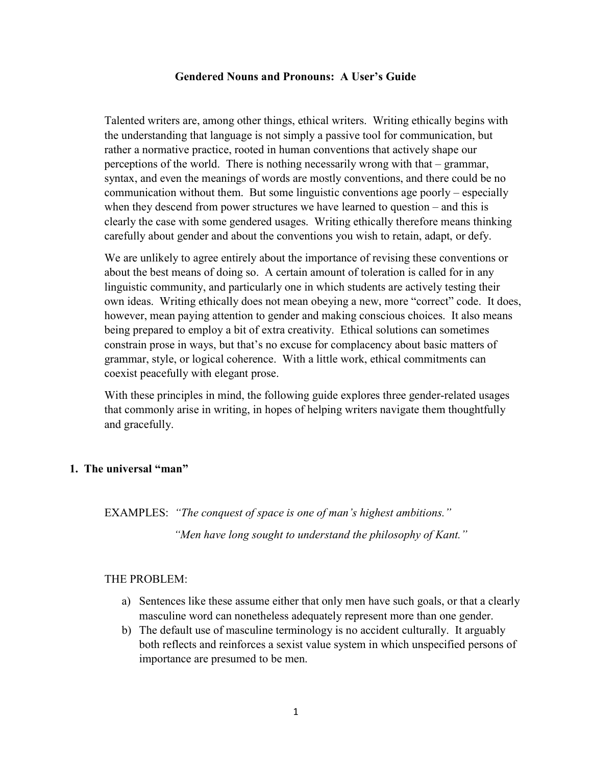#### Gendered Nouns and Pronouns: A User's Guide

Talented writers are, among other things, ethical writers. Writing ethically begins with the understanding that language is not simply a passive tool for communication, but rather a normative practice, rooted in human conventions that actively shape our perceptions of the world. There is nothing necessarily wrong with that – grammar, syntax, and even the meanings of words are mostly conventions, and there could be no communication without them. But some linguistic conventions age poorly – especially when they descend from power structures we have learned to question – and this is clearly the case with some gendered usages. Writing ethically therefore means thinking carefully about gender and about the conventions you wish to retain, adapt, or defy.

We are unlikely to agree entirely about the importance of revising these conventions or about the best means of doing so. A certain amount of toleration is called for in any linguistic community, and particularly one in which students are actively testing their own ideas. Writing ethically does not mean obeying a new, more "correct" code. It does, however, mean paying attention to gender and making conscious choices. It also means being prepared to employ a bit of extra creativity. Ethical solutions can sometimes constrain prose in ways, but that's no excuse for complacency about basic matters of grammar, style, or logical coherence. With a little work, ethical commitments can coexist peacefully with elegant prose.

With these principles in mind, the following guide explores three gender-related usages that commonly arise in writing, in hopes of helping writers navigate them thoughtfully and gracefully.

### 1. The universal "man"

EXAMPLES: "The conquest of space is one of man's highest ambitions." "Men have long sought to understand the philosophy of Kant."

#### THE PROBLEM:

- a) Sentences like these assume either that only men have such goals, or that a clearly masculine word can nonetheless adequately represent more than one gender.
- b) The default use of masculine terminology is no accident culturally. It arguably both reflects and reinforces a sexist value system in which unspecified persons of importance are presumed to be men.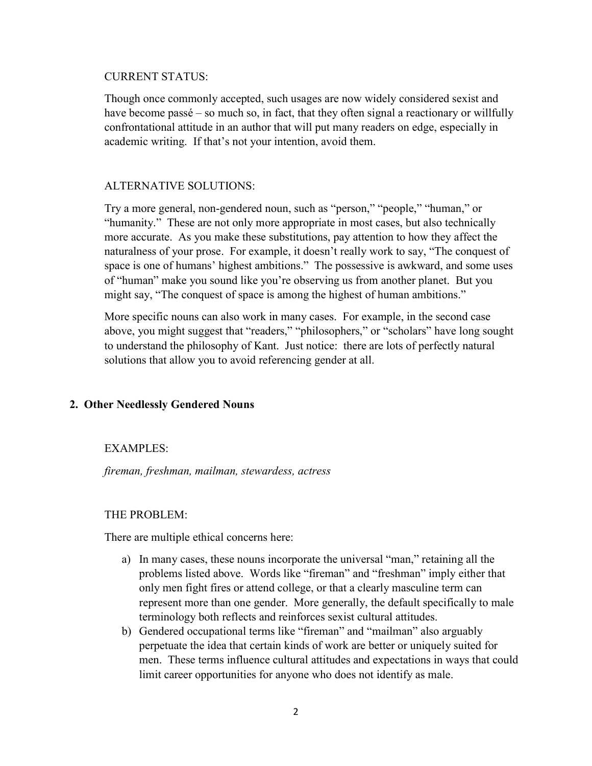#### CURRENT STATUS:

Though once commonly accepted, such usages are now widely considered sexist and have become passé – so much so, in fact, that they often signal a reactionary or willfully confrontational attitude in an author that will put many readers on edge, especially in academic writing. If that's not your intention, avoid them.

### ALTERNATIVE SOLUTIONS:

Try a more general, non-gendered noun, such as "person," "people," "human," or "humanity." These are not only more appropriate in most cases, but also technically more accurate. As you make these substitutions, pay attention to how they affect the naturalness of your prose. For example, it doesn't really work to say, "The conquest of space is one of humans' highest ambitions." The possessive is awkward, and some uses of "human" make you sound like you're observing us from another planet. But you might say, "The conquest of space is among the highest of human ambitions."

More specific nouns can also work in many cases. For example, in the second case above, you might suggest that "readers," "philosophers," or "scholars" have long sought to understand the philosophy of Kant. Just notice: there are lots of perfectly natural solutions that allow you to avoid referencing gender at all.

### 2. Other Needlessly Gendered Nouns

### EXAMPLES:

fireman, freshman, mailman, stewardess, actress

### THE PROBLEM:

There are multiple ethical concerns here:

- a) In many cases, these nouns incorporate the universal "man," retaining all the problems listed above. Words like "fireman" and "freshman" imply either that only men fight fires or attend college, or that a clearly masculine term can represent more than one gender. More generally, the default specifically to male terminology both reflects and reinforces sexist cultural attitudes.
- b) Gendered occupational terms like "fireman" and "mailman" also arguably perpetuate the idea that certain kinds of work are better or uniquely suited for men. These terms influence cultural attitudes and expectations in ways that could limit career opportunities for anyone who does not identify as male.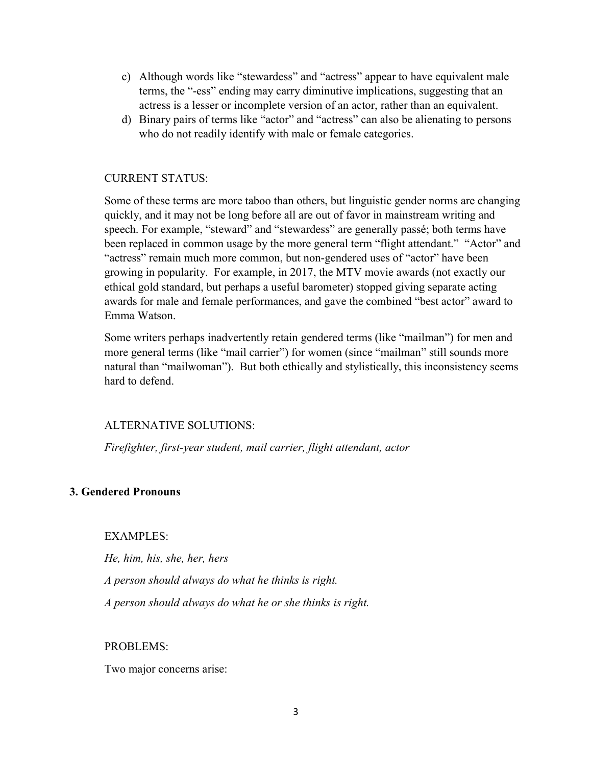- c) Although words like "stewardess" and "actress" appear to have equivalent male terms, the "-ess" ending may carry diminutive implications, suggesting that an actress is a lesser or incomplete version of an actor, rather than an equivalent.
- d) Binary pairs of terms like "actor" and "actress" can also be alienating to persons who do not readily identify with male or female categories.

# CURRENT STATUS:

Some of these terms are more taboo than others, but linguistic gender norms are changing quickly, and it may not be long before all are out of favor in mainstream writing and speech. For example, "steward" and "stewardess" are generally passé; both terms have been replaced in common usage by the more general term "flight attendant." "Actor" and "actress" remain much more common, but non-gendered uses of "actor" have been growing in popularity. For example, in 2017, the MTV movie awards (not exactly our ethical gold standard, but perhaps a useful barometer) stopped giving separate acting awards for male and female performances, and gave the combined "best actor" award to Emma Watson.

Some writers perhaps inadvertently retain gendered terms (like "mailman") for men and more general terms (like "mail carrier") for women (since "mailman" still sounds more natural than "mailwoman"). But both ethically and stylistically, this inconsistency seems hard to defend.

### ALTERNATIVE SOLUTIONS:

Firefighter, first-year student, mail carrier, flight attendant, actor

# 3. Gendered Pronouns

EXAMPLES:

He, him, his, she, her, hers

A person should always do what he thinks is right.

A person should always do what he or she thinks is right.

### PROBLEMS:

Two major concerns arise: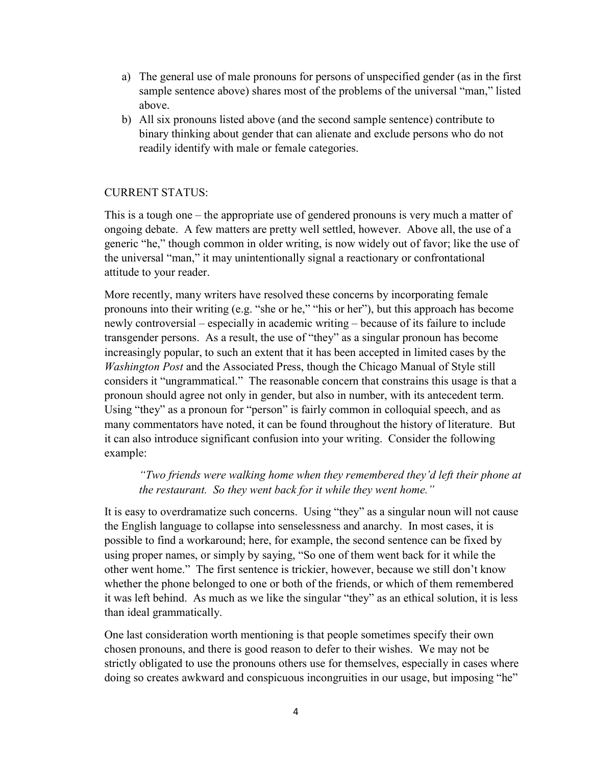- a) The general use of male pronouns for persons of unspecified gender (as in the first sample sentence above) shares most of the problems of the universal "man," listed above.
- b) All six pronouns listed above (and the second sample sentence) contribute to binary thinking about gender that can alienate and exclude persons who do not readily identify with male or female categories.

# CURRENT STATUS:

This is a tough one – the appropriate use of gendered pronouns is very much a matter of ongoing debate. A few matters are pretty well settled, however. Above all, the use of a generic "he," though common in older writing, is now widely out of favor; like the use of the universal "man," it may unintentionally signal a reactionary or confrontational attitude to your reader.

More recently, many writers have resolved these concerns by incorporating female pronouns into their writing (e.g. "she or he," "his or her"), but this approach has become newly controversial – especially in academic writing – because of its failure to include transgender persons. As a result, the use of "they" as a singular pronoun has become increasingly popular, to such an extent that it has been accepted in limited cases by the Washington Post and the Associated Press, though the Chicago Manual of Style still considers it "ungrammatical." The reasonable concern that constrains this usage is that a pronoun should agree not only in gender, but also in number, with its antecedent term. Using "they" as a pronoun for "person" is fairly common in colloquial speech, and as many commentators have noted, it can be found throughout the history of literature. But it can also introduce significant confusion into your writing. Consider the following example:

# "Two friends were walking home when they remembered they'd left their phone at the restaurant. So they went back for it while they went home."

It is easy to overdramatize such concerns. Using "they" as a singular noun will not cause the English language to collapse into senselessness and anarchy. In most cases, it is possible to find a workaround; here, for example, the second sentence can be fixed by using proper names, or simply by saying, "So one of them went back for it while the other went home." The first sentence is trickier, however, because we still don't know whether the phone belonged to one or both of the friends, or which of them remembered it was left behind. As much as we like the singular "they" as an ethical solution, it is less than ideal grammatically.

One last consideration worth mentioning is that people sometimes specify their own chosen pronouns, and there is good reason to defer to their wishes. We may not be strictly obligated to use the pronouns others use for themselves, especially in cases where doing so creates awkward and conspicuous incongruities in our usage, but imposing "he"